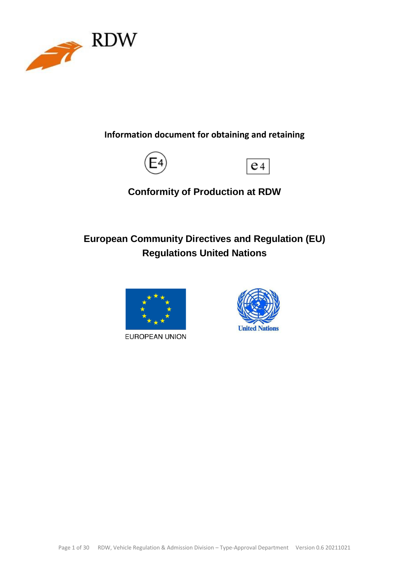

**Information document for obtaining and retaining**





**Conformity of Production at RDW**

# **European Community Directives and Regulation (EU) Regulations United Nations**



EUROPEAN UNION

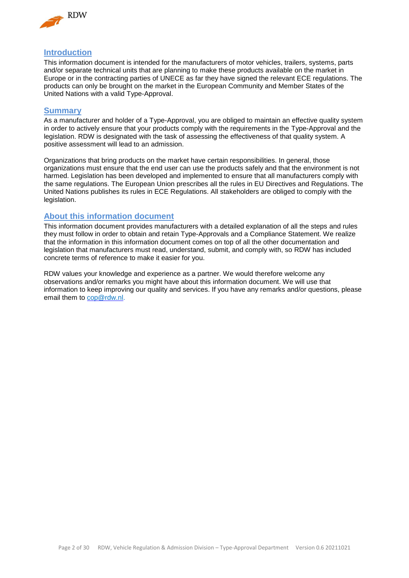

### <span id="page-1-0"></span>**Introduction**

This information document is intended for the manufacturers of motor vehicles, trailers, systems, parts and/or separate technical units that are planning to make these products available on the market in Europe or in the contracting parties of UNECE as far they have signed the relevant ECE regulations. The products can only be brought on the market in the European Community and Member States of the United Nations with a valid Type-Approval.

### <span id="page-1-1"></span>**Summary**

As a manufacturer and holder of a Type-Approval, you are obliged to maintain an effective quality system in order to actively ensure that your products comply with the requirements in the Type-Approval and the legislation. RDW is designated with the task of assessing the effectiveness of that quality system. A positive assessment will lead to an admission.

Organizations that bring products on the market have certain responsibilities. In general, those organizations must ensure that the end user can use the products safely and that the environment is not harmed. Legislation has been developed and implemented to ensure that all manufacturers comply with the same regulations. The European Union prescribes all the rules in EU Directives and Regulations. The United Nations publishes its rules in ECE Regulations. All stakeholders are obliged to comply with the legislation.

### <span id="page-1-2"></span>**About this information document**

This information document provides manufacturers with a detailed explanation of all the steps and rules they must follow in order to obtain and retain Type-Approvals and a Compliance Statement. We realize that the information in this information document comes on top of all the other documentation and legislation that manufacturers must read, understand, submit, and comply with, so RDW has included concrete terms of reference to make it easier for you.

RDW values your knowledge and experience as a partner. We would therefore welcome any observations and/or remarks you might have about this information document. We will use that information to keep improving our quality and services. If you have any remarks and/or questions, please email them to [cop@rdw.nl.](mailto:%20cop@rdw.nl)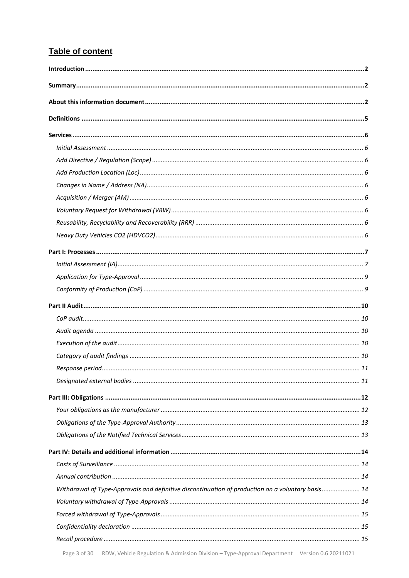# Table of content

| Withdrawal of Type-Approvals and definitive discontinuation of production on a voluntary basis 14 |  |
|---------------------------------------------------------------------------------------------------|--|
|                                                                                                   |  |
|                                                                                                   |  |
|                                                                                                   |  |
|                                                                                                   |  |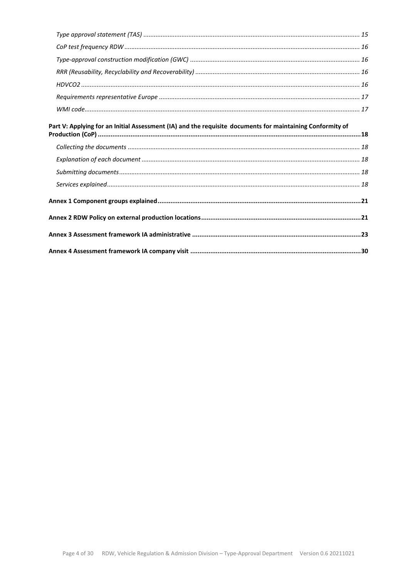| Part V: Applying for an Initial Assessment (IA) and the requisite documents for maintaining Conformity of |  |
|-----------------------------------------------------------------------------------------------------------|--|
|                                                                                                           |  |
|                                                                                                           |  |
|                                                                                                           |  |
|                                                                                                           |  |
|                                                                                                           |  |
|                                                                                                           |  |
|                                                                                                           |  |
|                                                                                                           |  |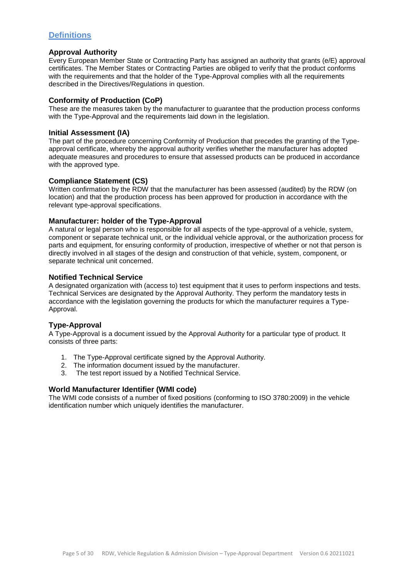## <span id="page-4-0"></span>**Definitions**

### **Approval Authority**

Every European Member State or Contracting Party has assigned an authority that grants (e/E) approval certificates. The Member States or Contracting Parties are obliged to verify that the product conforms with the requirements and that the holder of the Type-Approval complies with all the requirements described in the Directives/Regulations in question.

### **Conformity of Production (CoP)**

These are the measures taken by the manufacturer to guarantee that the production process conforms with the Type-Approval and the requirements laid down in the legislation.

### **Initial Assessment (IA)**

The part of the procedure concerning Conformity of Production that precedes the granting of the Typeapproval certificate, whereby the approval authority verifies whether the manufacturer has adopted adequate measures and procedures to ensure that assessed products can be produced in accordance with the approved type.

### **Compliance Statement (CS)**

Written confirmation by the RDW that the manufacturer has been assessed (audited) by the RDW (on location) and that the production process has been approved for production in accordance with the relevant type-approval specifications.

### **Manufacturer: holder of the Type-Approval**

A natural or legal person who is responsible for all aspects of the type-approval of a vehicle, system, component or separate technical unit, or the individual vehicle approval, or the authorization process for parts and equipment, for ensuring conformity of production, irrespective of whether or not that person is directly involved in all stages of the design and construction of that vehicle, system, component, or separate technical unit concerned.

### **Notified Technical Service**

A designated organization with (access to) test equipment that it uses to perform inspections and tests. Technical Services are designated by the Approval Authority. They perform the mandatory tests in accordance with the legislation governing the products for which the manufacturer requires a Type-Approval.

### **Type-Approval**

A Type-Approval is a document issued by the Approval Authority for a particular type of product. It consists of three parts:

- 1. The Type-Approval certificate signed by the Approval Authority.
- 2. The information document issued by the manufacturer.
- 3. The test report issued by a Notified Technical Service.

### **World Manufacturer Identifier (WMI code)**

The WMI code consists of a number of fixed positions (conforming to ISO 3780:2009) in the vehicle identification number which uniquely identifies the manufacturer.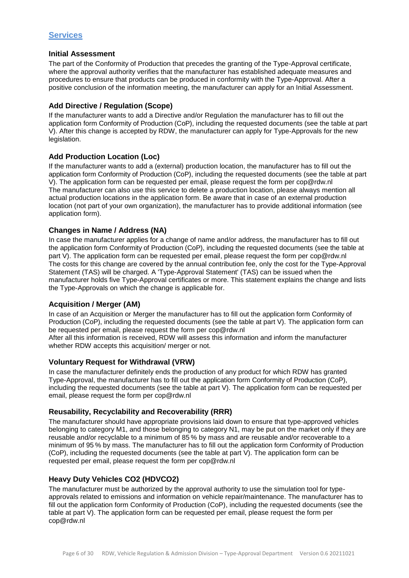#### <span id="page-5-1"></span><span id="page-5-0"></span>**Initial Assessment**

The part of the Conformity of Production that precedes the granting of the Type-Approval certificate, where the approval authority verifies that the manufacturer has established adequate measures and procedures to ensure that products can be produced in conformity with the Type-Approval. After a positive conclusion of the information meeting, the manufacturer can apply for an Initial Assessment.

### <span id="page-5-2"></span>**Add Directive / Regulation (Scope)**

If the manufacturer wants to add a Directive and/or Regulation the manufacturer has to fill out the application form Conformity of Production (CoP), including the requested documents (see the table at part V). After this change is accepted by RDW, the manufacturer can apply for Type-Approvals for the new legislation.

### <span id="page-5-3"></span>**Add Production Location (Loc)**

If the manufacturer wants to add a (external) production location, the manufacturer has to fill out the application form Conformity of Production (CoP), including the requested documents (see the table at part V). The application form can be requested per email, please request the form per cop@rdw.nl The manufacturer can also use this service to delete a production location, please always mention all actual production locations in the application form. Be aware that in case of an external production location (not part of your own organization), the manufacturer has to provide additional information (see application form).

### <span id="page-5-4"></span>**Changes in Name / Address (NA)**

In case the manufacturer applies for a change of name and/or address, the manufacturer has to fill out the application form Conformity of Production (CoP), including the requested documents (see the table at part V). The application form can be requested per email, please request the form per cop@rdw.nl The costs for this change are covered by the annual contribution fee, only the cost for the Type-Approval Statement (TAS) will be charged. A 'Type-Approval Statement' (TAS) can be issued when the manufacturer holds five Type-Approval certificates or more. This statement explains the change and lists the Type-Approvals on which the change is applicable for.

### <span id="page-5-5"></span>**Acquisition / Merger (AM)**

In case of an Acquisition or Merger the manufacturer has to fill out the application form Conformity of Production (CoP), including the requested documents (see the table at part V). The application form can be requested per email, please request the form per cop@rdw.nl After all this information is received, RDW will assess this information and inform the manufacturer

whether RDW accepts this acquisition/ merger or not.

### <span id="page-5-6"></span>**Voluntary Request for Withdrawal (VRW)**

In case the manufacturer definitely ends the production of any product for which RDW has granted Type-Approval, the manufacturer has to fill out the application form Conformity of Production (CoP), including the requested documents (see the table at part V). The application form can be requested per email, please request the form per cop@rdw.nl

### <span id="page-5-7"></span>**Reusability, Recyclability and Recoverability (RRR)**

The manufacturer should have appropriate provisions laid down to ensure that type-approved vehicles belonging to category M1, and those belonging to category N1, may be put on the market only if they are reusable and/or recyclable to a minimum of 85 % by mass and are reusable and/or recoverable to a minimum of 95 % by mass. The manufacturer has to fill out the application form Conformity of Production (CoP), including the requested documents (see the table at part V). The application form can be requested per email, please request the form per cop@rdw.nl

### <span id="page-5-8"></span>**Heavy Duty Vehicles CO2 (HDVCO2)**

The manufacturer must be authorized by the approval authority to use the simulation tool for typeapprovals related to emissions and information on vehicle repair/maintenance. The manufacturer has to fill out the application form Conformity of Production (CoP), including the requested documents (see the table at part V). The application form can be requested per email, please request the form per cop@rdw.nl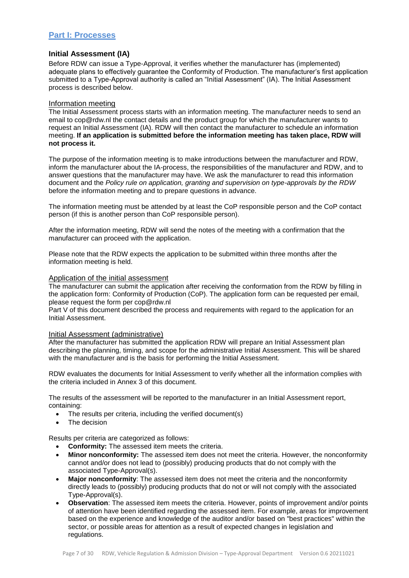### <span id="page-6-0"></span>**Part I: Processes**

#### <span id="page-6-1"></span>**Initial Assessment (IA)**

Before RDW can issue a Type-Approval, it verifies whether the manufacturer has (implemented) adequate plans to effectively guarantee the Conformity of Production. The manufacturer's first application submitted to a Type-Approval authority is called an "Initial Assessment" (IA). The Initial Assessment process is described below.

#### Information meeting

The Initial Assessment process starts with an information meeting. The manufacturer needs to send an email to cop@rdw.nl the contact details and the product group for which the manufacturer wants to request an Initial Assessment (IA). RDW will then contact the manufacturer to schedule an information meeting. **If an application is submitted before the information meeting has taken place, RDW will not process it.**

The purpose of the information meeting is to make introductions between the manufacturer and RDW, inform the manufacturer about the IA-process, the responsibilities of the manufacturer and RDW, and to answer questions that the manufacturer may have. We ask the manufacturer to read this information document and the *Policy rule on application, granting and supervision on type-approvals by the RDW*  before the information meeting and to prepare questions in advance.

The information meeting must be attended by at least the CoP responsible person and the CoP contact person (if this is another person than CoP responsible person).

After the information meeting, RDW will send the notes of the meeting with a confirmation that the manufacturer can proceed with the application.

Please note that the RDW expects the application to be submitted within three months after the information meeting is held.

#### Application of the initial assessment

The manufacturer can submit the application after receiving the conformation from the RDW by filling in the application form: Conformity of Production (CoP). The application form can be requested per email, please request the form per cop@rdw.nl

Part V of this document described the process and requirements with regard to the application for an Initial Assessment.

#### Initial Assessment (administrative)

After the manufacturer has submitted the application RDW will prepare an Initial Assessment plan describing the planning, timing, and scope for the administrative Initial Assessment. This will be shared with the manufacturer and is the basis for performing the Initial Assessment.

RDW evaluates the documents for Initial Assessment to verify whether all the information complies with the criteria included in Annex 3 of this document.

The results of the assessment will be reported to the manufacturer in an Initial Assessment report, containing:

- The results per criteria, including the verified document(s)
- The decision

Results per criteria are categorized as follows:

- **Conformity:** The assessed item meets the criteria.
- **Minor nonconformity:** The assessed item does not meet the criteria. However, the nonconformity cannot and/or does not lead to (possibly) producing products that do not comply with the associated Type-Approval(s).
- **Major nonconformity**: The assessed item does not meet the criteria and the nonconformity directly leads to (possibly) producing products that do not or will not comply with the associated Type-Approval(s).
- **Observation**: The assessed item meets the criteria. However, points of improvement and/or points of attention have been identified regarding the assessed item. For example, areas for improvement based on the experience and knowledge of the auditor and/or based on "best practices" within the sector, or possible areas for attention as a result of expected changes in legislation and regulations.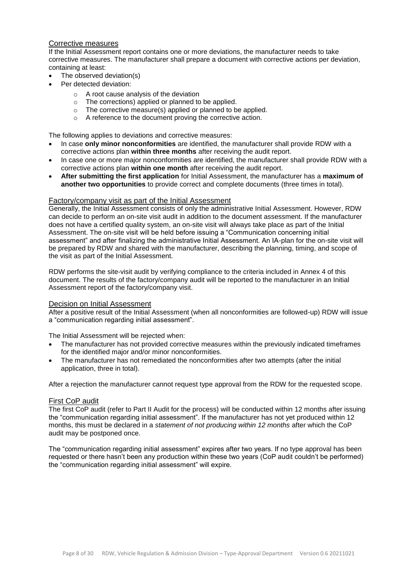### Corrective measures

If the Initial Assessment report contains one or more deviations, the manufacturer needs to take corrective measures. The manufacturer shall prepare a document with corrective actions per deviation, containing at least:

- The observed deviation(s)
- Per detected deviation:
	- o A root cause analysis of the deviation
	- o The corrections) applied or planned to be applied.
	- o The corrective measure(s) applied or planned to be applied.
	- o A reference to the document proving the corrective action.

The following applies to deviations and corrective measures:

- In case **only minor nonconformities** are identified, the manufacturer shall provide RDW with a corrective actions plan **within three months** after receiving the audit report.
- In case one or more major nonconformities are identified, the manufacturer shall provide RDW with a corrective actions plan **within one month** after receiving the audit report.
- **After submitting the first application** for Initial Assessment, the manufacturer has a **maximum of another two opportunities** to provide correct and complete documents (three times in total).

#### Factory/company visit as part of the Initial Assessment

Generally, the Initial Assessment consists of only the administrative Initial Assessment. However, RDW can decide to perform an on-site visit audit in addition to the document assessment. If the manufacturer does not have a certified quality system, an on-site visit will always take place as part of the Initial Assessment. The on-site visit will be held before issuing a "Communication concerning initial assessment" and after finalizing the administrative Initial Assessment. An IA-plan for the on-site visit will be prepared by RDW and shared with the manufacturer, describing the planning, timing, and scope of the visit as part of the Initial Assessment.

RDW performs the site-visit audit by verifying compliance to the criteria included in Annex 4 of this document. The results of the factory/company audit will be reported to the manufacturer in an Initial Assessment report of the factory/company visit.

#### Decision on Initial Assessment

After a positive result of the Initial Assessment (when all nonconformities are followed-up) RDW will issue a "communication regarding initial assessment".

The Initial Assessment will be rejected when:

- The manufacturer has not provided corrective measures within the previously indicated timeframes for the identified major and/or minor nonconformities.
- The manufacturer has not remediated the nonconformities after two attempts (after the initial application, three in total).

After a rejection the manufacturer cannot request type approval from the RDW for the requested scope.

#### First CoP audit

The first CoP audit (refer to Part II Audit for the process) will be conducted within 12 months after issuing the "communication regarding initial assessment". If the manufacturer has not yet produced within 12 months, this must be declared in a *statement of not producing within 12 months* after which the CoP audit may be postponed once.

The "communication regarding initial assessment" expires after two years. If no type approval has been requested or there hasn't been any production within these two years (CoP audit couldn't be performed) the "communication regarding initial assessment" will expire.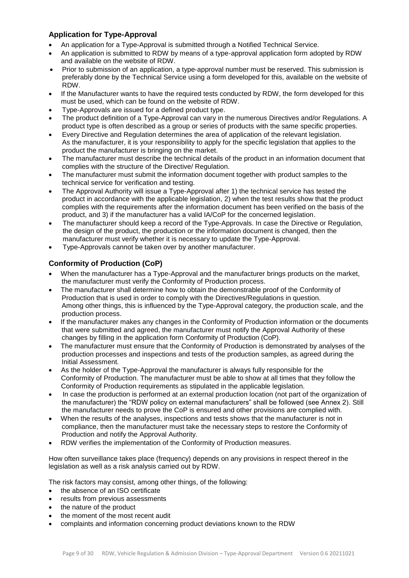### <span id="page-8-0"></span>**Application for Type-Approval**

- An application for a Type-Approval is submitted through a Notified Technical Service.
- An application is submitted to RDW by means of a type-approval application form adopted by RDW and available on the website of RDW.
- Prior to submission of an application, a type‐approval number must be reserved. This submission is preferably done by the Technical Service using a form developed for this, available on the website of RDW.
- If the Manufacturer wants to have the required tests conducted by RDW, the form developed for this must be used, which can be found on the website of RDW.
- Type-Approvals are issued for a defined product type.
- The product definition of a Type-Approval can vary in the numerous Directives and/or Regulations. A product type is often described as a group or series of products with the same specific properties.
- Every Directive and Regulation determines the area of application of the relevant legislation. As the manufacturer, it is your responsibility to apply for the specific legislation that applies to the product the manufacturer is bringing on the market.
- The manufacturer must describe the technical details of the product in an information document that complies with the structure of the Directive/ Regulation.
- The manufacturer must submit the information document together with product samples to the technical service for verification and testing.
- The Approval Authority will issue a Type-Approval after 1) the technical service has tested the product in accordance with the applicable legislation, 2) when the test results show that the product complies with the requirements after the information document has been verified on the basis of the product, and 3) if the manufacturer has a valid IA/CoP for the concerned legislation.
- The manufacturer should keep a record of the Type-Approvals. In case the Directive or Regulation, the design of the product, the production or the information document is changed, then the manufacturer must verify whether it is necessary to update the Type-Approval.
- Type-Approvals cannot be taken over by another manufacturer.

# <span id="page-8-1"></span>**Conformity of Production (CoP)**

- When the manufacturer has a Type-Approval and the manufacturer brings products on the market, the manufacturer must verify the Conformity of Production process.
- The manufacturer shall determine how to obtain the demonstrable proof of the Conformity of Production that is used in order to comply with the Directives/Regulations in question. Among other things, this is influenced by the Type-Approval category, the production scale, and the production process.
- If the manufacturer makes any changes in the Conformity of Production information or the documents that were submitted and agreed, the manufacturer must notify the Approval Authority of these changes by filling in the application form Conformity of Production (CoP).
- The manufacturer must ensure that the Conformity of Production is demonstrated by analyses of the production processes and inspections and tests of the production samples, as agreed during the Initial Assessment.
- As the holder of the Type-Approval the manufacturer is always fully responsible for the Conformity of Production. The manufacturer must be able to show at all times that they follow the Conformity of Production requirements as stipulated in the applicable legislation.
- In case the production is performed at an external production location (not part of the organization of the manufacturer) the "RDW policy on external manufacturers" shall be followed (see Annex 2). Still the manufacturer needs to prove the CoP is ensured and other provisions are complied with.
- When the results of the analyses, inspections and tests shows that the manufacturer is not in compliance, then the manufacturer must take the necessary steps to restore the Conformity of Production and notify the Approval Authority.
- RDW verifies the implementation of the Conformity of Production measures.

How often surveillance takes place (frequency) depends on any provisions in respect thereof in the legislation as well as a risk analysis carried out by RDW.

- The risk factors may consist, among other things, of the following:
- the absence of an ISO certificate
- results from previous assessments
- the nature of the product
- the moment of the most recent audit
- complaints and information concerning product deviations known to the RDW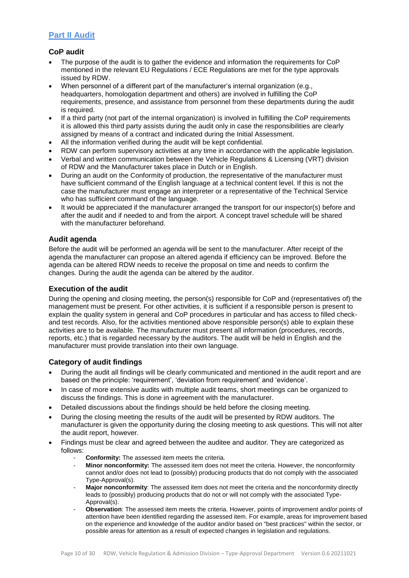# <span id="page-9-0"></span>**Part II Audit**

### <span id="page-9-1"></span>**CoP audit**

- The purpose of the audit is to gather the evidence and information the requirements for CoP mentioned in the relevant EU Regulations / ECE Regulations are met for the type approvals issued by RDW.
- When personnel of a different part of the manufacturer's internal organization (e.g., headquarters, homologation department and others) are involved in fulfilling the CoP requirements, presence, and assistance from personnel from these departments during the audit is required.
- If a third party (not part of the internal organization) is involved in fulfilling the CoP requirements it is allowed this third party assists during the audit only in case the responsibilities are clearly assigned by means of a contract and indicated during the Initial Assessment.
- All the information verified during the audit will be kept confidential.
- RDW can perform supervisory activities at any time in accordance with the applicable legislation.
- Verbal and written communication between the Vehicle Regulations & Licensing (VRT) division of RDW and the Manufacturer takes place in Dutch or in English.
- During an audit on the Conformity of production, the representative of the manufacturer must have sufficient command of the English language at a technical content level. If this is not the case the manufacturer must engage an interpreter or a representative of the Technical Service who has sufficient command of the language.
- It would be appreciated if the manufacturer arranged the transport for our inspector(s) before and after the audit and if needed to and from the airport. A concept travel schedule will be shared with the manufacturer beforehand.

### <span id="page-9-2"></span>**Audit agenda**

Before the audit will be performed an agenda will be sent to the manufacturer. After receipt of the agenda the manufacturer can propose an altered agenda if efficiency can be improved. Before the agenda can be altered RDW needs to receive the proposal on time and needs to confirm the changes. During the audit the agenda can be altered by the auditor.

### <span id="page-9-3"></span>**Execution of the audit**

During the opening and closing meeting, the person(s) responsible for CoP and (representatives of) the management must be present. For other activities, it is sufficient if a responsible person is present to explain the quality system in general and CoP procedures in particular and has access to filled checkand test records. Also, for the activities mentioned above responsible person(s) able to explain these activities are to be available. The manufacturer must present all information (procedures, records, reports, etc.) that is regarded necessary by the auditors. The audit will be held in English and the manufacturer must provide translation into their own language.

### <span id="page-9-4"></span>**Category of audit findings**

- During the audit all findings will be clearly communicated and mentioned in the audit report and are based on the principle: 'requirement', 'deviation from requirement' and 'evidence'.
- In case of more extensive audits with multiple audit teams, short meetings can be organized to discuss the findings. This is done in agreement with the manufacturer.
- Detailed discussions about the findings should be held before the closing meeting.
- During the closing meeting the results of the audit will be presented by RDW auditors. The manufacturer is given the opportunity during the closing meeting to ask questions. This will not alter the audit report, however.
- Findings must be clear and agreed between the auditee and auditor. They are categorized as follows:
	- Conformity: The assessed item meets the criteria.
	- **Minor nonconformity:** The assessed item does not meet the criteria. However, the nonconformity cannot and/or does not lead to (possibly) producing products that do not comply with the associated Type-Approval(s).
	- **Major nonconformity:** The assessed item does not meet the criteria and the nonconformity directly leads to (possibly) producing products that do not or will not comply with the associated Type-Approval(s)
	- **Observation**: The assessed item meets the criteria. However, points of improvement and/or points of attention have been identified regarding the assessed item. For example, areas for improvement based on the experience and knowledge of the auditor and/or based on "best practices" within the sector, or possible areas for attention as a result of expected changes in legislation and regulations.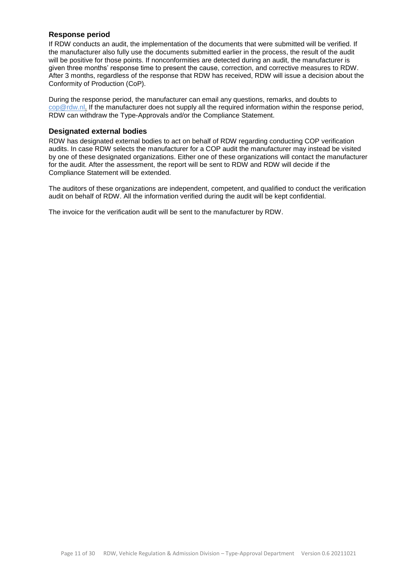### <span id="page-10-0"></span>**Response period**

If RDW conducts an audit, the implementation of the documents that were submitted will be verified. If the manufacturer also fully use the documents submitted earlier in the process, the result of the audit will be positive for those points. If nonconformities are detected during an audit, the manufacturer is given three months' response time to present the cause, correction, and corrective measures to RDW. After 3 months, regardless of the response that RDW has received, RDW will issue a decision about the Conformity of Production (CoP).

During the response period, the manufacturer can email any questions, remarks, and doubts to [cop@rdw.nl.](mailto:cop@rdw.nl.) If the manufacturer does not supply all the required information within the response period, RDW can withdraw the Type-Approvals and/or the Compliance Statement.

### <span id="page-10-1"></span>**Designated external bodies**

RDW has designated external bodies to act on behalf of RDW regarding conducting COP verification audits. In case RDW selects the manufacturer for a COP audit the manufacturer may instead be visited by one of these designated organizations. Either one of these organizations will contact the manufacturer for the audit. After the assessment, the report will be sent to RDW and RDW will decide if the Compliance Statement will be extended.

The auditors of these organizations are independent, competent, and qualified to conduct the verification audit on behalf of RDW. All the information verified during the audit will be kept confidential.

The invoice for the verification audit will be sent to the manufacturer by RDW.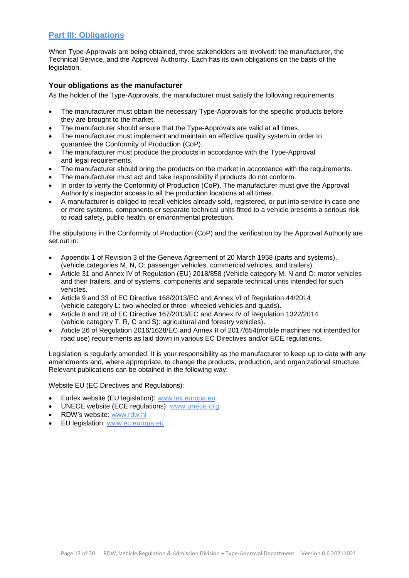# <span id="page-11-0"></span>**Part III: Obligations**

When Type-Approvals are being obtained, three stakeholders are involved: the manufacturer, the Technical Service, and the Approval Authority. Each has its own obligations on the basis of the legislation.

### <span id="page-11-1"></span>**Your obligations as the manufacturer**

As the holder of the Type-Approvals, the manufacturer must satisfy the following requirements.

- The manufacturer must obtain the necessary Type-Approvals for the specific products before they are brought to the market.
- The manufacturer should ensure that the Type-Approvals are valid at all times.
- The manufacturer must implement and maintain an effective quality system in order to guarantee the Conformity of Production (CoP).
- The manufacturer must produce the products in accordance with the Type-Approval and legal requirements.
- The manufacturer should bring the products on the market in accordance with the requirements.
- The manufacturer must act and take responsibility if products do not conform.
- In order to verify the Conformity of Production (CoP), The manufacturer must give the Approval Authority's inspector access to all the production locations at all times.
- A manufacturer is obliged to recall vehicles already sold, registered, or put into service in case one or more systems, components or separate technical units fitted to a vehicle presents a serious risk to road safety, public health, or environmental protection.

The stipulations in the Conformity of Production (CoP) and the verification by the Approval Authority are set out in:

- Appendix 1 of Revision 3 of the Geneva Agreement of 20 March 1958 (parts and systems). (vehicle categories M, N, O: passenger vehicles, commercial vehicles, and trailers).
- Article 31 and Annex IV of Regulation (EU) 2018/858 (Vehicle category M, N and O: motor vehicles and their trailers, and of systems, components and separate technical units intended for such vehicles.
- Article 9 and 33 of EC Directive 168/2013/EC and Annex VI of Regulation 44/2014 (vehicle category L: two-wheeled or three- wheeled vehicles and quads).
- Article 8 and 28 of EC Directive 167/2013/EC and Annex IV of Regulation 1322/2014 (vehicle category T, R, C and S): agricultural and forestry vehicles).
- Article 26 of Regulation 2016/1628/EC and Annex II of 2017/654(mobile machines not intended for road use) requirements as laid down in various EC Directives and/or ECE regulations.

Legislation is regularly amended. It is your responsibility as the manufacturer to keep up to date with any amendments and, where appropriate, to change the products, production, and organizational structure. Relevant publications can be obtained in the following way:

Website EU (EC Directives and Regulations):

- Eurlex website (EU legislation): [www.lex.europa.eu](https://eur-lex.europa.eu/homepage.html?locale=en)
- UNECE website (ECE regulations): [www.unece.org](http://www.unece.org/trans/main/elcwp29)
- RDW's website: [www.rdw.nl](https://www.rdw.nl/over-rdw)
- EU legislation: [www.ec.europa.eu](http://ec.europa.eu/growth/sectors/automotive/legislation_en)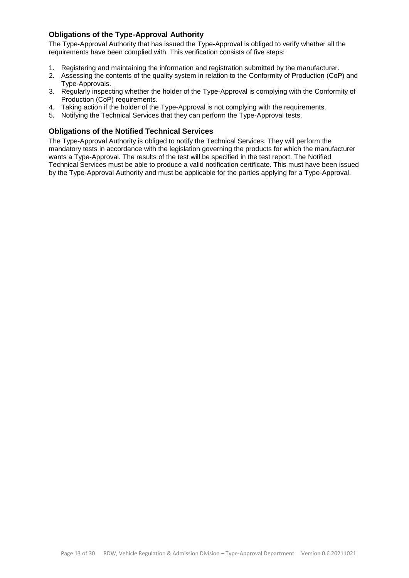### <span id="page-12-0"></span>**Obligations of the Type-Approval Authority**

The Type-Approval Authority that has issued the Type-Approval is obliged to verify whether all the requirements have been complied with. This verification consists of five steps:

- 1. Registering and maintaining the information and registration submitted by the manufacturer.
- 2. Assessing the contents of the quality system in relation to the Conformity of Production (CoP) and Type-Approvals.
- 3. Regularly inspecting whether the holder of the Type-Approval is complying with the Conformity of Production (CoP) requirements.
- 4. Taking action if the holder of the Type-Approval is not complying with the requirements.
- 5. Notifying the Technical Services that they can perform the Type-Approval tests.

### <span id="page-12-1"></span>**Obligations of the Notified Technical Services**

The Type-Approval Authority is obliged to notify the Technical Services. They will perform the mandatory tests in accordance with the legislation governing the products for which the manufacturer wants a Type-Approval. The results of the test will be specified in the test report. The Notified Technical Services must be able to produce a valid notification certificate. This must have been issued by the Type-Approval Authority and must be applicable for the parties applying for a Type-Approval.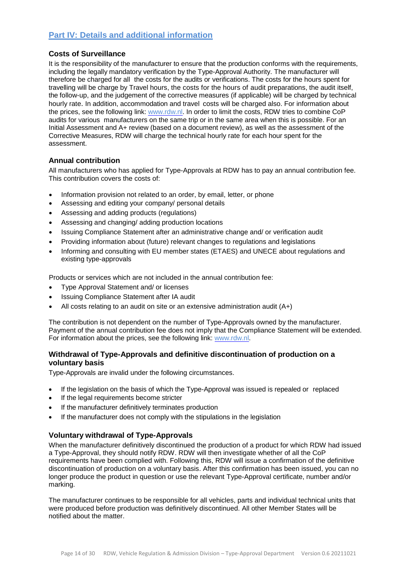# <span id="page-13-0"></span>**Part IV: Details and additional information**

### <span id="page-13-1"></span>**Costs of Surveillance**

It is the responsibility of the manufacturer to ensure that the production conforms with the requirements, including the legally mandatory verification by the Type-Approval Authority. The manufacturer will therefore be charged for all the costs for the audits or verifications. The costs for the hours spent for travelling will be charge by Travel hours, the costs for the hours of audit preparations, the audit itself, the follow-up, and the judgement of the corrective measures (if applicable) will be charged by technical hourly rate. In addition, accommodation and travel costs will be charged also. For information about the prices, see the following link: [www.rdw.nl.](https://www.rdw.nl/zakelijk/branches/fabrikanten-en-importeurs/english-information-about-typeapprovals/type-approval-for-components) In order to limit the costs, RDW tries to combine CoP audits for various manufacturers on the same trip or in the same area when this is possible. For an Initial Assessment and A+ review (based on a document review), as well as the assessment of the Corrective Measures, RDW will charge the technical hourly rate for each hour spent for the assessment.

### <span id="page-13-2"></span>**Annual contribution**

All manufacturers who has applied for Type-Approvals at RDW has to pay an annual contribution fee. This contribution covers the costs of:

- Information provision not related to an order, by email, letter, or phone
- Assessing and editing your company/ personal details
- Assessing and adding products (regulations)
- Assessing and changing/ adding production locations
- Issuing Compliance Statement after an administrative change and/ or verification audit
- Providing information about (future) relevant changes to regulations and legislations
- Informing and consulting with EU member states (ETAES) and UNECE about regulations and existing type-approvals

Products or services which are not included in the annual contribution fee:

- Type Approval Statement and/ or licenses
- Issuing Compliance Statement after IA audit
- All costs relating to an audit on site or an extensive administration audit (A+)

The contribution is not dependent on the number of Type-Approvals owned by the manufacturer. Payment of the annual contribution fee does not imply that the Compliance Statement will be extended. For information about the prices, see the following link: [www.rdw.nl.](https://www.rdw.nl/zakelijk/branches/fabrikanten-en-importeurs/english-information-about-typeapprovals/type-approval-for-components)

### <span id="page-13-3"></span>**Withdrawal of Type-Approvals and definitive discontinuation of production on a voluntary basis**

Type-Approvals are invalid under the following circumstances.

- If the legislation on the basis of which the Type-Approval was issued is repealed or replaced
- If the legal requirements become stricter
- If the manufacturer definitively terminates production
- If the manufacturer does not comply with the stipulations in the legislation

### <span id="page-13-4"></span>**Voluntary withdrawal of Type-Approvals**

When the manufacturer definitively discontinued the production of a product for which RDW had issued a Type-Approval, they should notify RDW. RDW will then investigate whether of all the CoP requirements have been complied with. Following this, RDW will issue a confirmation of the definitive discontinuation of production on a voluntary basis. After this confirmation has been issued, you can no longer produce the product in question or use the relevant Type-Approval certificate, number and/or marking.

The manufacturer continues to be responsible for all vehicles, parts and individual technical units that were produced before production was definitively discontinued. All other Member States will be notified about the matter.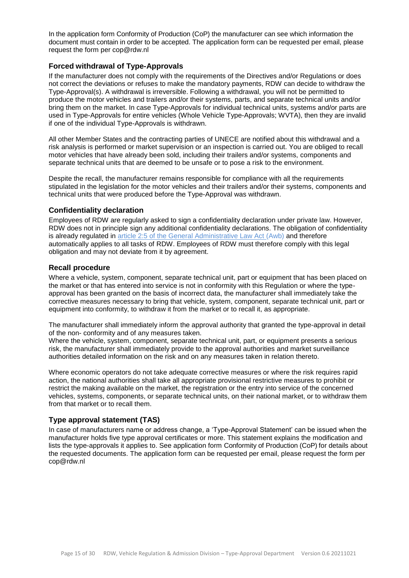In the application form Conformity of Production (CoP) the manufacturer can see which information the document must contain in order to be accepted. The application form can be requested per email, please request the form per cop@rdw.nl

### <span id="page-14-0"></span>**Forced withdrawal of Type-Approvals**

If the manufacturer does not comply with the requirements of the Directives and/or Regulations or does not correct the deviations or refuses to make the mandatory payments, RDW can decide to withdraw the Type-Approval(s). A withdrawal is irreversible. Following a withdrawal, you will not be permitted to produce the motor vehicles and trailers and/or their systems, parts, and separate technical units and/or bring them on the market. In case Type-Approvals for individual technical units, systems and/or parts are used in Type-Approvals for entire vehicles (Whole Vehicle Type-Approvals; WVTA), then they are invalid if one of the individual Type-Approvals is withdrawn.

All other Member States and the contracting parties of UNECE are notified about this withdrawal and a risk analysis is performed or market supervision or an inspection is carried out. You are obliged to recall motor vehicles that have already been sold, including their trailers and/or systems, components and separate technical units that are deemed to be unsafe or to pose a risk to the environment.

Despite the recall, the manufacturer remains responsible for compliance with all the requirements stipulated in the legislation for the motor vehicles and their trailers and/or their systems, components and technical units that were produced before the Type-Approval was withdrawn.

### <span id="page-14-1"></span>**Confidentiality declaration**

Employees of RDW are regularly asked to sign a confidentiality declaration under private law. However, RDW does not in principle sign any additional confidentiality declarations. The obligation of confidentiality is already regulated in [article 2:5 of the General Administrative Law Act](http://wetten.overheid.nl/BWBR0005537/Hoofdstuk2/Afdeling21/Artikel25/geldigheidsdatum_25-06-2015) (Awb) and therefore automatically applies to all tasks of RDW. Employees of RDW must therefore comply with this legal obligation and may not deviate from it by agreement.

### <span id="page-14-2"></span>**Recall procedure**

Where a vehicle, system, component, separate technical unit, part or equipment that has been placed on the market or that has entered into service is not in conformity with this Regulation or where the typeapproval has been granted on the basis of incorrect data, the manufacturer shall immediately take the corrective measures necessary to bring that vehicle, system, component, separate technical unit, part or equipment into conformity, to withdraw it from the market or to recall it, as appropriate.

The manufacturer shall immediately inform the approval authority that granted the type-approval in detail of the non- conformity and of any measures taken.

Where the vehicle, system, component, separate technical unit, part, or equipment presents a serious risk, the manufacturer shall immediately provide to the approval authorities and market surveillance authorities detailed information on the risk and on any measures taken in relation thereto.

Where economic operators do not take adequate corrective measures or where the risk requires rapid action, the national authorities shall take all appropriate provisional restrictive measures to prohibit or restrict the making available on the market, the registration or the entry into service of the concerned vehicles, systems, components, or separate technical units, on their national market, or to withdraw them from that market or to recall them.

### <span id="page-14-3"></span>**Type approval statement (TAS)**

In case of manufacturers name or address change, a 'Type-Approval Statement' can be issued when the manufacturer holds five type approval certificates or more. This statement explains the modification and lists the type-approvals it applies to. See application form Conformity of Production (CoP) for details about the requested documents. The application form can be requested per email, please request the form per cop@rdw.nl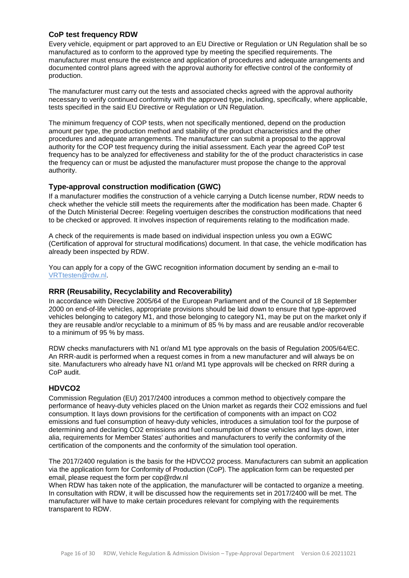### <span id="page-15-0"></span>**CoP test frequency RDW**

Every vehicle, equipment or part approved to an EU Directive or Regulation or UN Regulation shall be so manufactured as to conform to the approved type by meeting the specified requirements. The manufacturer must ensure the existence and application of procedures and adequate arrangements and documented control plans agreed with the approval authority for effective control of the conformity of production.

The manufacturer must carry out the tests and associated checks agreed with the approval authority necessary to verify continued conformity with the approved type, including, specifically, where applicable, tests specified in the said EU Directive or Regulation or UN Regulation.

The minimum frequency of COP tests, when not specifically mentioned, depend on the production amount per type, the production method and stability of the product characteristics and the other procedures and adequate arrangements. The manufacturer can submit a proposal to the approval authority for the COP test frequency during the initial assessment. Each year the agreed CoP test frequency has to be analyzed for effectiveness and stability for the of the product characteristics in case the frequency can or must be adjusted the manufacturer must propose the change to the approval authority.

### <span id="page-15-1"></span>**Type-approval construction modification (GWC)**

If a manufacturer modifies the construction of a vehicle carrying a Dutch license number, RDW needs to check whether the vehicle still meets the requirements after the modification has been made. Chapter 6 of the Dutch Ministerial Decree: Regeling voertuigen describes the construction modifications that need to be checked or approved. It involves inspection of requirements relating to the modification made.

A check of the requirements is made based on individual inspection unless you own a EGWC (Certification of approval for structural modifications) document. In that case, the vehicle modification has already been inspected by RDW.

You can apply for a copy of the GWC recognition information document by sending an e-mail to [VRTtesten@rdw.nl.](mailto:VRTtesten@rdw.nl)

### <span id="page-15-2"></span>**RRR (Reusability, Recyclability and Recoverability)**

In accordance with Directive 2005/64 of the European Parliament and of the Council of 18 September 2000 on end-of-life vehicles, appropriate provisions should be laid down to ensure that type-approved vehicles belonging to category M1, and those belonging to category N1, may be put on the market only if they are reusable and/or recyclable to a minimum of 85 % by mass and are reusable and/or recoverable to a minimum of 95 % by mass.

RDW checks manufacturers with N1 or/and M1 type approvals on the basis of Regulation 2005/64/EC. An RRR-audit is performed when a request comes in from a new manufacturer and will always be on site. Manufacturers who already have N1 or/and M1 type approvals will be checked on RRR during a CoP audit.

### <span id="page-15-3"></span>**HDVCO2**

Commission Regulation (EU) 2017/2400 introduces a common method to objectively compare the performance of heavy-duty vehicles placed on the Union market as regards their CO2 emissions and fuel consumption. It lays down provisions for the certification of components with an impact on CO2 emissions and fuel consumption of heavy-duty vehicles, introduces a simulation tool for the purpose of determining and declaring CO2 emissions and fuel consumption of those vehicles and lays down, inter alia, requirements for Member States' authorities and manufacturers to verify the conformity of the certification of the components and the conformity of the simulation tool operation.

The 2017/2400 regulation is the basis for the HDVCO2 process. Manufacturers can submit an application via the application form for Conformity of Production (CoP). The application form can be requested per email, please request the form per cop@rdw.nl

When RDW has taken note of the application, the manufacturer will be contacted to organize a meeting. In consultation with RDW, it will be discussed how the requirements set in 2017/2400 will be met. The manufacturer will have to make certain procedures relevant for complying with the requirements transparent to RDW.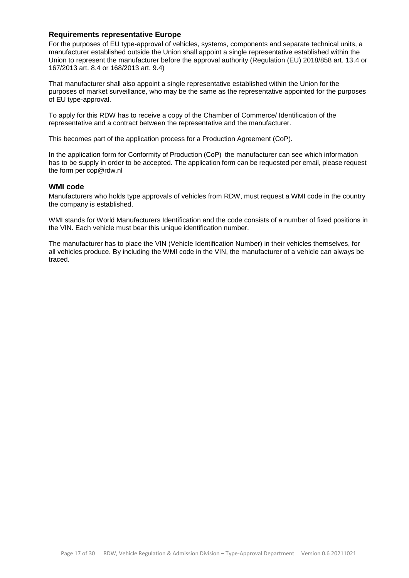#### <span id="page-16-0"></span>**Requirements representative Europe**

For the purposes of EU type-approval of vehicles, systems, components and separate technical units, a manufacturer established outside the Union shall appoint a single representative established within the Union to represent the manufacturer before the approval authority (Regulation (EU) 2018/858 art. 13.4 or 167/2013 art. 8.4 or 168/2013 art. 9.4)

That manufacturer shall also appoint a single representative established within the Union for the purposes of market surveillance, who may be the same as the representative appointed for the purposes of EU type-approval.

To apply for this RDW has to receive a copy of the Chamber of Commerce/ Identification of the representative and a contract between the representative and the manufacturer.

This becomes part of the application process for a Production Agreement (CoP).

In the application form for Conformity of Production (CoP) the manufacturer can see which information has to be supply in order to be accepted. The application form can be requested per email, please request the form per cop@rdw.nl

#### <span id="page-16-1"></span>**WMI code**

Manufacturers who holds type approvals of vehicles from RDW, must request a WMI code in the country the company is established.

WMI stands for World Manufacturers Identification and the code consists of a number of fixed positions in the VIN. Each vehicle must bear this unique identification number.

The manufacturer has to place the VIN (Vehicle Identification Number) in their vehicles themselves, for all vehicles produce. By including the WMI code in the VIN, the manufacturer of a vehicle can always be traced.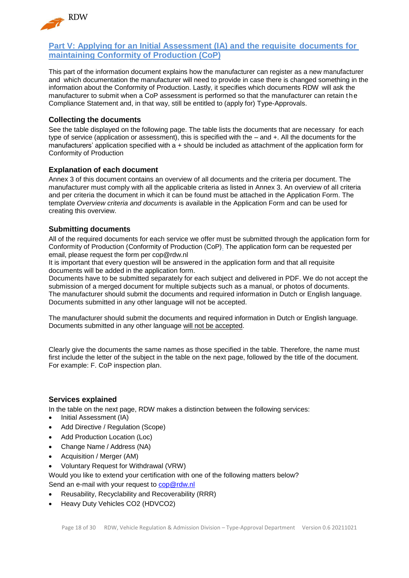

### <span id="page-17-0"></span>**Part V: Applying for an Initial Assessment (IA) and the requisite documents for maintaining Conformity of Production (CoP)**

This part of the information document explains how the manufacturer can register as a new manufacturer and which documentation the manufacturer will need to provide in case there is changed something in the information about the Conformity of Production. Lastly, it specifies which documents RDW will ask the manufacturer to submit when a CoP assessment is performed so that the manufacturer can retain the Compliance Statement and, in that way, still be entitled to (apply for) Type-Approvals.

### <span id="page-17-1"></span>**Collecting the documents**

See the table displayed on the following page. The table lists the documents that are necessary for each type of service (application or assessment), this is specified with the – and +. All the documents for the manufacturers' application specified with a + should be included as attachment of the application form for Conformity of Production

### <span id="page-17-2"></span>**Explanation of each document**

Annex 3 of this document contains an overview of all documents and the criteria per document. The manufacturer must comply with all the applicable criteria as listed in Annex 3. An overview of all criteria and per criteria the document in which it can be found must be attached in the Application Form. The template *Overview criteria and documents* is available in the Application Form and can be used for creating this overview.

### <span id="page-17-3"></span>**Submitting documents**

All of the required documents for each service we offer must be submitted through the application form for Conformity of Production (Conformity of Production (CoP). The application form can be requested per email, please request the form per cop@rdw.nl

It is important that every question will be answered in the application form and that all requisite documents will be added in the application form.

Documents have to be submitted separately for each subject and delivered in PDF. We do not accept the submission of a merged document for multiple subjects such as a manual, or photos of documents. The manufacturer should submit the documents and required information in Dutch or English language. Documents submitted in any other language will not be accepted.

The manufacturer should submit the documents and required information in Dutch or English language. Documents submitted in any other language will not be accepted.

Clearly give the documents the same names as those specified in the table. Therefore, the name must first include the letter of the subject in the table on the next page, followed by the title of the document. For example: F. CoP inspection plan.

### <span id="page-17-4"></span>**Services explained**

In the table on the next page, RDW makes a distinction between the following services:

- Initial Assessment (IA)
- Add Directive / Regulation (Scope)
- Add Production Location (Loc)
- Change Name / Address (NA)
- Acquisition / Merger (AM)
- Voluntary Request for Withdrawal (VRW)

Would you like to extend your certification with one of the following matters below? Send an e-mail with your request to cop@rdw.nl

- Reusability, Recyclability and Recoverability (RRR)
- Heavy Duty Vehicles CO2 (HDVCO2)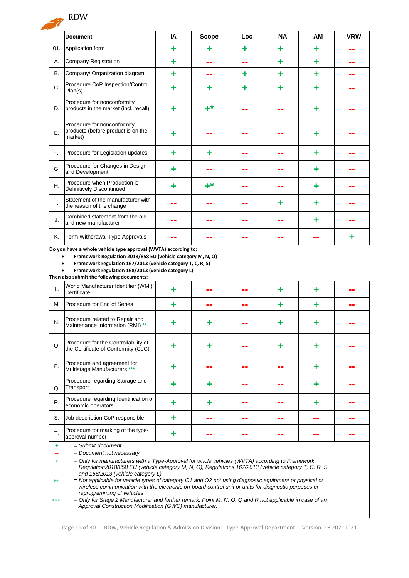

|                                                                                                                                                                                                                                                                                                                                                                                                                                                                                                                                                                                                                                                                                                                                                        | <b>Document</b>                                                                                                                                                                                                               | IA | <b>Scope</b> | Loc | <b>NA</b> | <b>AM</b> | <b>VRW</b> |
|--------------------------------------------------------------------------------------------------------------------------------------------------------------------------------------------------------------------------------------------------------------------------------------------------------------------------------------------------------------------------------------------------------------------------------------------------------------------------------------------------------------------------------------------------------------------------------------------------------------------------------------------------------------------------------------------------------------------------------------------------------|-------------------------------------------------------------------------------------------------------------------------------------------------------------------------------------------------------------------------------|----|--------------|-----|-----------|-----------|------------|
| 01.                                                                                                                                                                                                                                                                                                                                                                                                                                                                                                                                                                                                                                                                                                                                                    | Application form                                                                                                                                                                                                              | ٠  | ٠            | ÷   | ÷         | ٠         |            |
| А.                                                                                                                                                                                                                                                                                                                                                                                                                                                                                                                                                                                                                                                                                                                                                     | Company Registration                                                                                                                                                                                                          | ٠  | --           | --  | ÷         | ٠         | --         |
| В.                                                                                                                                                                                                                                                                                                                                                                                                                                                                                                                                                                                                                                                                                                                                                     | Company/ Organization diagram                                                                                                                                                                                                 | ٠  | --           | ٠   | ÷         | ٠         | --         |
| C.                                                                                                                                                                                                                                                                                                                                                                                                                                                                                                                                                                                                                                                                                                                                                     | Procedure CoP Inspection/Control<br>Plan(s)                                                                                                                                                                                   | ٠  | ٠            | ٠   | ÷         | ٠         |            |
| D.                                                                                                                                                                                                                                                                                                                                                                                                                                                                                                                                                                                                                                                                                                                                                     | Procedure for nonconformity<br>products in the market (incl. recall)                                                                                                                                                          | ٠  | $+^*$        |     |           | ÷         |            |
| Ε.                                                                                                                                                                                                                                                                                                                                                                                                                                                                                                                                                                                                                                                                                                                                                     | Procedure for nonconformity<br>products (before product is on the<br>market)                                                                                                                                                  | ٠  |              |     |           | ٠         |            |
| F.                                                                                                                                                                                                                                                                                                                                                                                                                                                                                                                                                                                                                                                                                                                                                     | Procedure for Legislation updates                                                                                                                                                                                             | ٠  | ٠            |     |           | ٠         |            |
| G.                                                                                                                                                                                                                                                                                                                                                                                                                                                                                                                                                                                                                                                                                                                                                     | Procedure for Changes in Design<br>and Development                                                                                                                                                                            | ٠  |              |     |           | ÷         |            |
| Н.                                                                                                                                                                                                                                                                                                                                                                                                                                                                                                                                                                                                                                                                                                                                                     | Procedure when Production is<br>Definitively Discontinued                                                                                                                                                                     | ٠  | $+^*$        |     |           | ٠         |            |
| I.                                                                                                                                                                                                                                                                                                                                                                                                                                                                                                                                                                                                                                                                                                                                                     | Statement of the manufacturer with<br>the reason of the change                                                                                                                                                                |    |              |     | ÷         | ٠         |            |
| J.                                                                                                                                                                                                                                                                                                                                                                                                                                                                                                                                                                                                                                                                                                                                                     | Combined statement from the old<br>and new manufacturer                                                                                                                                                                       |    |              |     |           | ٠         |            |
| Κ.                                                                                                                                                                                                                                                                                                                                                                                                                                                                                                                                                                                                                                                                                                                                                     | Form Withdrawal Type Approvals                                                                                                                                                                                                |    |              |     |           |           | ٠          |
|                                                                                                                                                                                                                                                                                                                                                                                                                                                                                                                                                                                                                                                                                                                                                        | Framework Regulation 2018/858 EU (vehicle category M, N, O)<br>Framework regulation 167/2013 (vehicle category T, C, R, S)<br>Framework regulation 168/2013 (vehicle category L)<br>Then also submit the following documents: |    |              |     |           |           |            |
| World Manufacturer Identifier (WMI)<br>L.<br>٠<br>÷<br>٠<br>Certificate                                                                                                                                                                                                                                                                                                                                                                                                                                                                                                                                                                                                                                                                                |                                                                                                                                                                                                                               |    |              |     |           |           |            |
| М.                                                                                                                                                                                                                                                                                                                                                                                                                                                                                                                                                                                                                                                                                                                                                     | Procedure for End of Series                                                                                                                                                                                                   | ٠  |              |     | ٠         | ٠         |            |
| N.                                                                                                                                                                                                                                                                                                                                                                                                                                                                                                                                                                                                                                                                                                                                                     | Procedure related to Repair and<br>Maintenance Information (RMI) **                                                                                                                                                           | ٠  | ٠            |     | ÷         | ٠         |            |
| O.                                                                                                                                                                                                                                                                                                                                                                                                                                                                                                                                                                                                                                                                                                                                                     | Procedure for the Controllability of<br>the Certificate of Conformity (CoC)                                                                                                                                                   |    |              |     |           |           |            |
| Ρ.                                                                                                                                                                                                                                                                                                                                                                                                                                                                                                                                                                                                                                                                                                                                                     | Procedure and agreement for<br>Multistage Manufacturers ***                                                                                                                                                                   | ٠  |              |     |           | ٠         |            |
| Q.                                                                                                                                                                                                                                                                                                                                                                                                                                                                                                                                                                                                                                                                                                                                                     | Procedure regarding Storage and<br>Transport                                                                                                                                                                                  | ÷  | ٠            |     |           | ٠         |            |
| R.                                                                                                                                                                                                                                                                                                                                                                                                                                                                                                                                                                                                                                                                                                                                                     | Procedure regarding Identification of<br>economic operators                                                                                                                                                                   | ٠  | ٠            | --  |           | ٠         |            |
| S.                                                                                                                                                                                                                                                                                                                                                                                                                                                                                                                                                                                                                                                                                                                                                     | Job description CoP responsible                                                                                                                                                                                               | ٠  | --           | --  | --        | --        |            |
| T.                                                                                                                                                                                                                                                                                                                                                                                                                                                                                                                                                                                                                                                                                                                                                     | Procedure for marking of the type-<br>approval number                                                                                                                                                                         | ٠  |              |     |           |           |            |
| $=$ Submit document.<br>٠<br>= Document not necessary.<br>= Only for manufacturers with a Type-Approval for whole vehicles (WVTA) according to Framework<br>$\frac{1}{2}$<br>Regulation2018/858 EU (vehicle category M, N, O), Regulations 167/2013 (vehicle category T, C, R, S<br>and 168/2013 (vehicle category L)<br>= Not applicable for vehicle types of category O1 and O2 not using diagnostic equipment or physical or<br>**<br>wireless communication with the electronic on-board control unit or units for diagnostic purposes or<br>reprogramming of vehicles<br>= Only for Stage 2 Manufacturer and further remark: Point M, N, O, Q and R not applicable in case of an<br>***<br>Approval Construction Modification (GWC) manufacturer. |                                                                                                                                                                                                                               |    |              |     |           |           |            |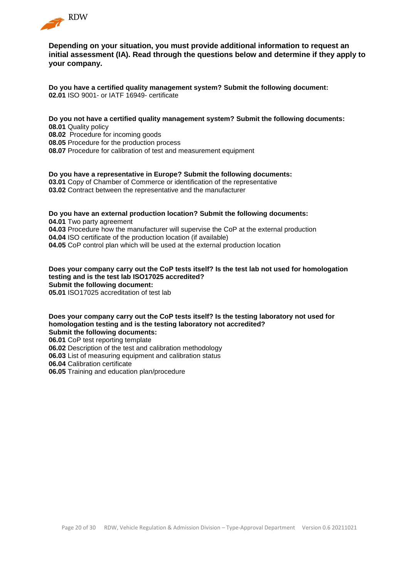

**Depending on your situation, you must provide additional information to request an initial assessment (IA). Read through the questions below and determine if they apply to your company.**

**Do you have a certified quality management system? Submit the following document: 02.01** ISO 9001- or IATF 16949- certificate

**Do you not have a certified quality management system? Submit the following documents: 08.01** Quality policy

**08.02** Procedure for incoming goods

**08.05** Procedure for the production process

**08.07** Procedure for calibration of test and measurement equipment

**Do you have a representative in Europe? Submit the following documents: 03.01** Copy of Chamber of Commerce or identification of the representative **03.02** Contract between the representative and the manufacturer

**Do you have an external production location? Submit the following documents: 04.01** Two party agreement **04.03** Procedure how the manufacturer will supervise the CoP at the external production **04.04** ISO certificate of the production location (if available) **04.05** CoP control plan which will be used at the external production location

**Does your company carry out the CoP tests itself? Is the test lab not used for homologation testing and is the test lab ISO17025 accredited? Submit the following document: 05.01** ISO17025 accreditation of test lab

**Does your company carry out the CoP tests itself? Is the testing laboratory not used for homologation testing and is the testing laboratory not accredited? Submit the following documents:**

**06.01** CoP test reporting template

**06.02** Description of the test and calibration methodology

**06.03** List of measuring equipment and calibration status

**06.04** Calibration certificate

**06.05** Training and education plan/procedure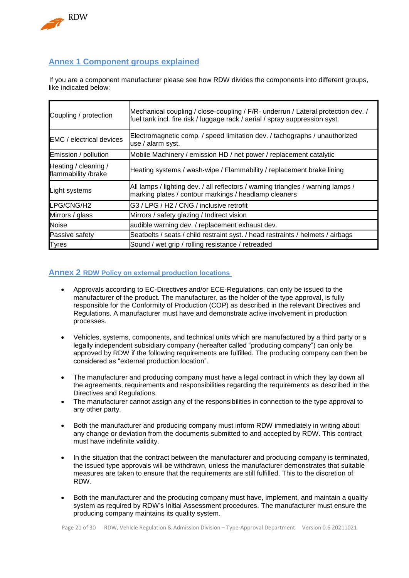

# <span id="page-20-0"></span>**Annex 1 Component groups explained**

If you are a component manufacturer please see how RDW divides the components into different groups, like indicated below:

| Coupling / protection                       | Mechanical coupling / close-coupling / F/R- underrun / Lateral protection dev. /<br>fuel tank incl. fire risk / luggage rack / aerial / spray suppression syst. |
|---------------------------------------------|-----------------------------------------------------------------------------------------------------------------------------------------------------------------|
| <b>EMC</b> / electrical devices             | Electromagnetic comp. / speed limitation dev. / tachographs / unauthorized<br>use / alarm syst.                                                                 |
| Emission / pollution                        | Mobile Machinery / emission HD / net power / replacement catalytic                                                                                              |
| Heating / cleaning /<br>flammability /brake | Heating systems / wash-wipe / Flammability / replacement brake lining                                                                                           |
| Light systems                               | All lamps / lighting dev. / all reflectors / warning triangles / warning lamps /<br>marking plates / contour markings / headlamp cleaners                       |
| LPG/CNG/H2                                  | G3 / LPG / H2 / CNG / inclusive retrofit                                                                                                                        |
| Mirrors / glass                             | Mirrors / safety glazing / Indirect vision                                                                                                                      |
| <b>Noise</b>                                | audible warning dev. / replacement exhaust dev.                                                                                                                 |
| Passive safety                              | Seatbelts / seats / child restraint syst. / head restraints / helmets / airbags                                                                                 |
| Tyres                                       | Sound / wet grip / rolling resistance / retreaded                                                                                                               |

### <span id="page-20-1"></span>**Annex 2 RDW Policy on external production locations**

- Approvals according to EC-Directives and/or ECE-Regulations, can only be issued to the manufacturer of the product. The manufacturer, as the holder of the type approval, is fully responsible for the Conformity of Production (COP) as described in the relevant Directives and Regulations. A manufacturer must have and demonstrate active involvement in production processes.
- Vehicles, systems, components, and technical units which are manufactured by a third party or a legally independent subsidiary company (hereafter called "producing company") can only be approved by RDW if the following requirements are fulfilled. The producing company can then be considered as "external production location".
- The manufacturer and producing company must have a legal contract in which they lay down all the agreements, requirements and responsibilities regarding the requirements as described in the Directives and Regulations.
- The manufacturer cannot assign any of the responsibilities in connection to the type approval to any other party.
- Both the manufacturer and producing company must inform RDW immediately in writing about any change or deviation from the documents submitted to and accepted by RDW. This contract must have indefinite validity.
- In the situation that the contract between the manufacturer and producing company is terminated, the issued type approvals will be withdrawn, unless the manufacturer demonstrates that suitable measures are taken to ensure that the requirements are still fulfilled. This to the discretion of RDW.
- Both the manufacturer and the producing company must have, implement, and maintain a quality system as required by RDW's Initial Assessment procedures. The manufacturer must ensure the producing company maintains its quality system.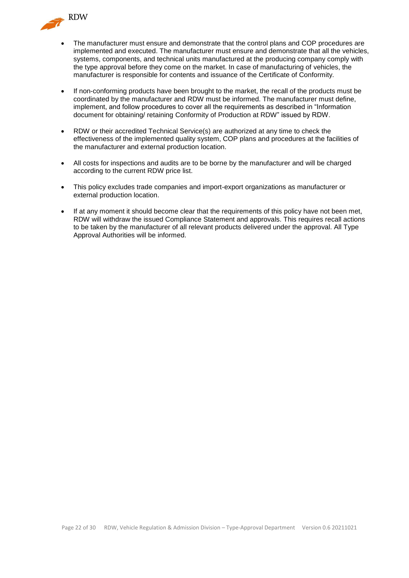

- The manufacturer must ensure and demonstrate that the control plans and COP procedures are implemented and executed. The manufacturer must ensure and demonstrate that all the vehicles, systems, components, and technical units manufactured at the producing company comply with the type approval before they come on the market. In case of manufacturing of vehicles, the manufacturer is responsible for contents and issuance of the Certificate of Conformity.
- If non-conforming products have been brought to the market, the recall of the products must be coordinated by the manufacturer and RDW must be informed. The manufacturer must define, implement, and follow procedures to cover all the requirements as described in "Information document for obtaining/ retaining Conformity of Production at RDW" issued by RDW.
- RDW or their accredited Technical Service(s) are authorized at any time to check the effectiveness of the implemented quality system, COP plans and procedures at the facilities of the manufacturer and external production location.
- All costs for inspections and audits are to be borne by the manufacturer and will be charged according to the current RDW price list.
- This policy excludes trade companies and import-export organizations as manufacturer or external production location.
- If at any moment it should become clear that the requirements of this policy have not been met, RDW will withdraw the issued Compliance Statement and approvals. This requires recall actions to be taken by the manufacturer of all relevant products delivered under the approval. All Type Approval Authorities will be informed.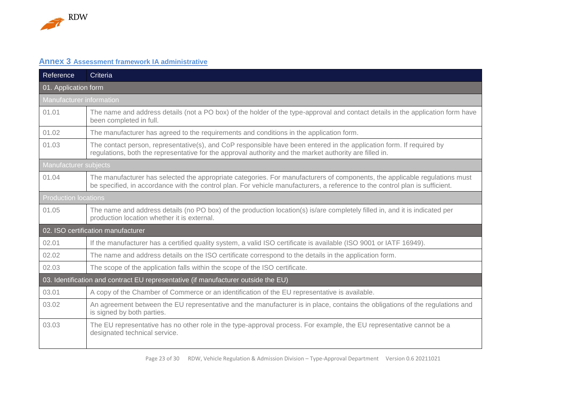

# **Annex 3 Assessment framework IA administrative**

<span id="page-22-0"></span>

| Reference                       | Criteria                                                                                                                                                                                                                                                   |  |  |
|---------------------------------|------------------------------------------------------------------------------------------------------------------------------------------------------------------------------------------------------------------------------------------------------------|--|--|
| 01. Application form            |                                                                                                                                                                                                                                                            |  |  |
| <b>Manufacturer</b> information |                                                                                                                                                                                                                                                            |  |  |
| 01.01                           | The name and address details (not a PO box) of the holder of the type-approval and contact details in the application form have<br>been completed in full.                                                                                                 |  |  |
| 01.02                           | The manufacturer has agreed to the requirements and conditions in the application form.                                                                                                                                                                    |  |  |
| 01.03                           | The contact person, representative(s), and CoP responsible have been entered in the application form. If required by<br>regulations, both the representative for the approval authority and the market authority are filled in.                            |  |  |
| Manufacturer subjects           |                                                                                                                                                                                                                                                            |  |  |
| 01.04                           | The manufacturer has selected the appropriate categories. For manufacturers of components, the applicable regulations must<br>be specified, in accordance with the control plan. For vehicle manufacturers, a reference to the control plan is sufficient. |  |  |
|                                 | <b>Production locations</b>                                                                                                                                                                                                                                |  |  |
| 01.05                           | The name and address details (no PO box) of the production location(s) is/are completely filled in, and it is indicated per<br>production location whether it is external.                                                                                 |  |  |
|                                 | 02. ISO certification manufacturer                                                                                                                                                                                                                         |  |  |
| 02.01                           | If the manufacturer has a certified quality system, a valid ISO certificate is available (ISO 9001 or IATF 16949).                                                                                                                                         |  |  |
| 02.02                           | The name and address details on the ISO certificate correspond to the details in the application form.                                                                                                                                                     |  |  |
| 02.03                           | The scope of the application falls within the scope of the ISO certificate.                                                                                                                                                                                |  |  |
|                                 | 03. Identification and contract EU representative (if manufacturer outside the EU)                                                                                                                                                                         |  |  |
| 03.01                           | A copy of the Chamber of Commerce or an identification of the EU representative is available.                                                                                                                                                              |  |  |
| 03.02                           | An agreement between the EU representative and the manufacturer is in place, contains the obligations of the regulations and<br>is signed by both parties.                                                                                                 |  |  |
| 03.03                           | The EU representative has no other role in the type-approval process. For example, the EU representative cannot be a<br>designated technical service.                                                                                                      |  |  |

Page 23 of 30 RDW, Vehicle Regulation & Admission Division – Type-Approval Department Version 0.6 20211021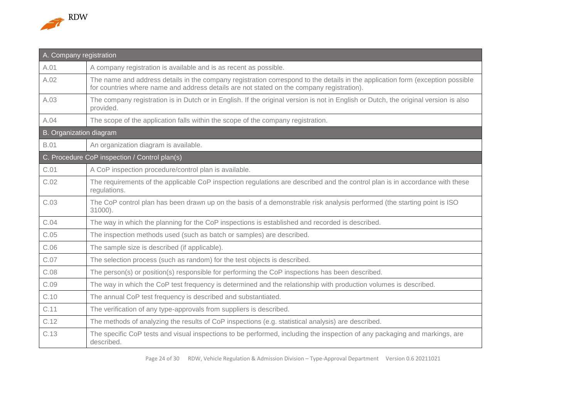

| A. Company registration        |                                                                                                                                                                                                                             |  |  |
|--------------------------------|-----------------------------------------------------------------------------------------------------------------------------------------------------------------------------------------------------------------------------|--|--|
| A.01                           | A company registration is available and is as recent as possible.                                                                                                                                                           |  |  |
| A.02                           | The name and address details in the company registration correspond to the details in the application form (exception possible<br>for countries where name and address details are not stated on the company registration). |  |  |
| A.03                           | The company registration is in Dutch or in English. If the original version is not in English or Dutch, the original version is also<br>provided.                                                                           |  |  |
| A.04                           | The scope of the application falls within the scope of the company registration.                                                                                                                                            |  |  |
| <b>B.</b> Organization diagram |                                                                                                                                                                                                                             |  |  |
| <b>B.01</b>                    | An organization diagram is available.                                                                                                                                                                                       |  |  |
|                                | C. Procedure CoP inspection / Control plan(s)                                                                                                                                                                               |  |  |
| C.01                           | A CoP inspection procedure/control plan is available.                                                                                                                                                                       |  |  |
| C.02                           | The requirements of the applicable CoP inspection regulations are described and the control plan is in accordance with these<br>regulations.                                                                                |  |  |
| C.03                           | The CoP control plan has been drawn up on the basis of a demonstrable risk analysis performed (the starting point is ISO<br>31000).                                                                                         |  |  |
| C.04                           | The way in which the planning for the CoP inspections is established and recorded is described.                                                                                                                             |  |  |
| C.05                           | The inspection methods used (such as batch or samples) are described.                                                                                                                                                       |  |  |
| C.06                           | The sample size is described (if applicable).                                                                                                                                                                               |  |  |
| C.07                           | The selection process (such as random) for the test objects is described.                                                                                                                                                   |  |  |
| C.08                           | The person(s) or position(s) responsible for performing the CoP inspections has been described.                                                                                                                             |  |  |
| C.09                           | The way in which the CoP test frequency is determined and the relationship with production volumes is described.                                                                                                            |  |  |
| C.10                           | The annual CoP test frequency is described and substantiated.                                                                                                                                                               |  |  |
| C.11                           | The verification of any type-approvals from suppliers is described.                                                                                                                                                         |  |  |
| C.12                           | The methods of analyzing the results of CoP inspections (e.g. statistical analysis) are described.                                                                                                                          |  |  |
| C.13                           | The specific CoP tests and visual inspections to be performed, including the inspection of any packaging and markings, are<br>described.                                                                                    |  |  |

Page 24 of 30 RDW, Vehicle Regulation & Admission Division – Type-Approval Department Version 0.6 20211021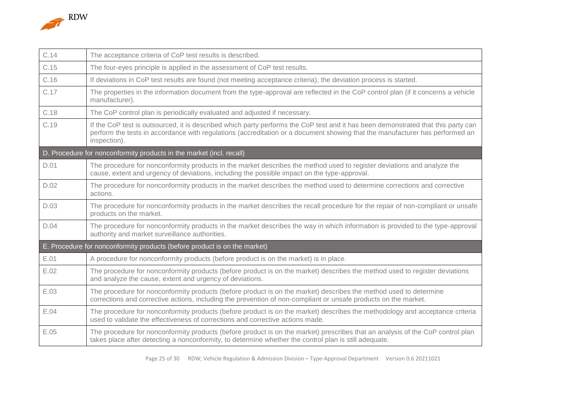

| C.14 | The acceptance criteria of CoP test results is described.                                                                                                                                                                                                                         |
|------|-----------------------------------------------------------------------------------------------------------------------------------------------------------------------------------------------------------------------------------------------------------------------------------|
| C.15 | The four-eyes principle is applied in the assessment of CoP test results.                                                                                                                                                                                                         |
| C.16 | If deviations in CoP test results are found (not meeting acceptance criteria), the deviation process is started.                                                                                                                                                                  |
| C.17 | The properties in the information document from the type-approval are reflected in the CoP control plan (if it concerns a vehicle<br>manufacturer).                                                                                                                               |
| C.18 | The CoP control plan is periodically evaluated and adjusted if necessary.                                                                                                                                                                                                         |
| C.19 | If the CoP test is outsourced, it is described which party performs the CoP test and it has been demonstrated that this party can<br>perform the tests in accordance with regulations (accreditation or a document showing that the manufacturer has performed an<br>inspection). |
|      | D. Procedure for nonconformity products in the market (incl. recall)                                                                                                                                                                                                              |
| D.01 | The procedure for nonconformity products in the market describes the method used to register deviations and analyze the<br>cause, extent and urgency of deviations, including the possible impact on the type-approval.                                                           |
| D.02 | The procedure for nonconformity products in the market describes the method used to determine corrections and corrective<br>actions.                                                                                                                                              |
| D.03 | The procedure for nonconformity products in the market describes the recall procedure for the repair of non-compliant or unsafe<br>products on the market.                                                                                                                        |
| D.04 | The procedure for nonconformity products in the market describes the way in which information is provided to the type-approval<br>authority and market surveillance authorities.                                                                                                  |
|      | E. Procedure for nonconformity products (before product is on the market)                                                                                                                                                                                                         |
| E.01 | A procedure for nonconformity products (before product is on the market) is in place.                                                                                                                                                                                             |
| E.02 | The procedure for nonconformity products (before product is on the market) describes the method used to register deviations<br>and analyze the cause, extent and urgency of deviations.                                                                                           |
| E.03 | The procedure for nonconformity products (before product is on the market) describes the method used to determine<br>corrections and corrective actions, including the prevention of non-compliant or unsafe products on the market.                                              |
| E.04 | The procedure for nonconformity products (before product is on the market) describes the methodology and acceptance criteria<br>used to validate the effectiveness of corrections and corrective actions made.                                                                    |
| E.05 | The procedure for nonconformity products (before product is on the market) prescribes that an analysis of the CoP control plan<br>takes place after detecting a nonconformity, to determine whether the control plan is still adequate.                                           |

Page 25 of 30 RDW, Vehicle Regulation & Admission Division – Type-Approval Department Version 0.6 20211021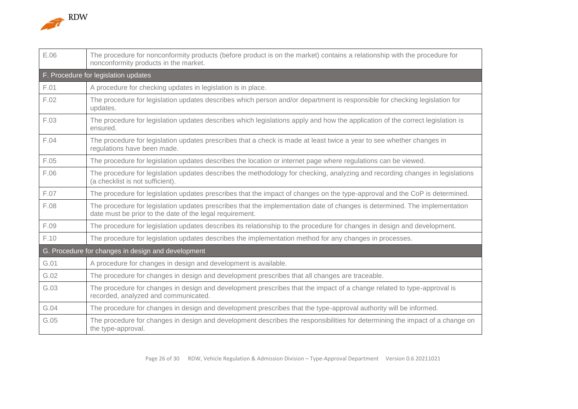

| E.06 | The procedure for nonconformity products (before product is on the market) contains a relationship with the procedure for<br>nonconformity products in the market.                     |  |  |  |  |
|------|----------------------------------------------------------------------------------------------------------------------------------------------------------------------------------------|--|--|--|--|
|      | F. Procedure for legislation updates                                                                                                                                                   |  |  |  |  |
| F.01 | A procedure for checking updates in legislation is in place.                                                                                                                           |  |  |  |  |
| F.02 | The procedure for legislation updates describes which person and/or department is responsible for checking legislation for<br>updates.                                                 |  |  |  |  |
| F.03 | The procedure for legislation updates describes which legislations apply and how the application of the correct legislation is<br>ensured.                                             |  |  |  |  |
| F.04 | The procedure for legislation updates prescribes that a check is made at least twice a year to see whether changes in<br>regulations have been made.                                   |  |  |  |  |
| F.05 | The procedure for legislation updates describes the location or internet page where regulations can be viewed.                                                                         |  |  |  |  |
| F.06 | The procedure for legislation updates describes the methodology for checking, analyzing and recording changes in legislations<br>(a checklist is not sufficient).                      |  |  |  |  |
| F.07 | The procedure for legislation updates prescribes that the impact of changes on the type-approval and the CoP is determined.                                                            |  |  |  |  |
| F.08 | The procedure for legislation updates prescribes that the implementation date of changes is determined. The implementation<br>date must be prior to the date of the legal requirement. |  |  |  |  |
| F.09 | The procedure for legislation updates describes its relationship to the procedure for changes in design and development.                                                               |  |  |  |  |
| F.10 | The procedure for legislation updates describes the implementation method for any changes in processes.                                                                                |  |  |  |  |
|      | G. Procedure for changes in design and development                                                                                                                                     |  |  |  |  |
| G.01 | A procedure for changes in design and development is available.                                                                                                                        |  |  |  |  |
| G.02 | The procedure for changes in design and development prescribes that all changes are traceable.                                                                                         |  |  |  |  |
| G.03 | The procedure for changes in design and development prescribes that the impact of a change related to type-approval is<br>recorded, analyzed and communicated.                         |  |  |  |  |
| G.04 | The procedure for changes in design and development prescribes that the type-approval authority will be informed.                                                                      |  |  |  |  |
| G.05 | The procedure for changes in design and development describes the responsibilities for determining the impact of a change on<br>the type-approval.                                     |  |  |  |  |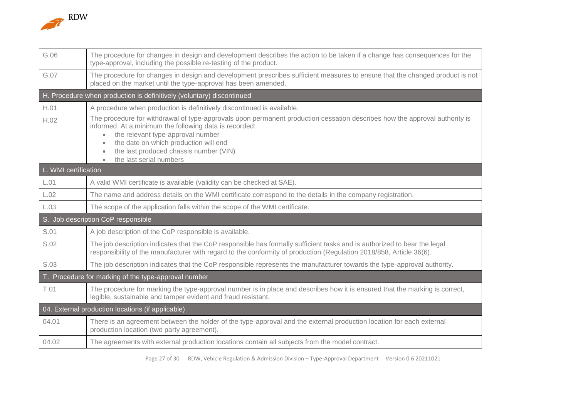

| G.06                 | The procedure for changes in design and development describes the action to be taken if a change has consequences for the<br>type-approval, including the possible re-testing of the product.                                                                                                                                                        |
|----------------------|------------------------------------------------------------------------------------------------------------------------------------------------------------------------------------------------------------------------------------------------------------------------------------------------------------------------------------------------------|
| G.07                 | The procedure for changes in design and development prescribes sufficient measures to ensure that the changed product is not<br>placed on the market until the type-approval has been amended.                                                                                                                                                       |
|                      | H. Procedure when production is definitively (voluntary) discontinued                                                                                                                                                                                                                                                                                |
| H.01                 | A procedure when production is definitively discontinued is available.                                                                                                                                                                                                                                                                               |
| H.02                 | The procedure for withdrawal of type-approvals upon permanent production cessation describes how the approval authority is<br>informed. At a minimum the following data is recorded:<br>the relevant type-approval number<br>the date on which production will end<br>the last produced chassis number (VIN)<br>the last serial numbers<br>$\bullet$ |
| L. WMI certification |                                                                                                                                                                                                                                                                                                                                                      |
| L.01                 | A valid WMI certificate is available (validity can be checked at SAE).                                                                                                                                                                                                                                                                               |
| L.02                 | The name and address details on the WMI certificate correspond to the details in the company registration.                                                                                                                                                                                                                                           |
| L.03                 | The scope of the application falls within the scope of the WMI certificate.                                                                                                                                                                                                                                                                          |
|                      | S. Job description CoP responsible                                                                                                                                                                                                                                                                                                                   |
| S.01                 | A job description of the CoP responsible is available.                                                                                                                                                                                                                                                                                               |
| S.02                 | The job description indicates that the CoP responsible has formally sufficient tasks and is authorized to bear the legal<br>responsibility of the manufacturer with regard to the conformity of production (Regulation 2018/858, Article 36(6).                                                                                                      |
| S.03                 | The job description indicates that the CoP responsible represents the manufacturer towards the type-approval authority.                                                                                                                                                                                                                              |
|                      | T. Procedure for marking of the type-approval number                                                                                                                                                                                                                                                                                                 |
| T.01                 | The procedure for marking the type-approval number is in place and describes how it is ensured that the marking is correct,<br>legible, sustainable and tamper evident and fraud resistant.                                                                                                                                                          |
|                      | 04. External production locations (if applicable)                                                                                                                                                                                                                                                                                                    |
| 04.01                | There is an agreement between the holder of the type-approval and the external production location for each external<br>production location (two party agreement).                                                                                                                                                                                   |
| 04.02                | The agreements with external production locations contain all subjects from the model contract.                                                                                                                                                                                                                                                      |

Page 27 of 30 RDW, Vehicle Regulation & Admission Division – Type-Approval Department Version 0.6 20211021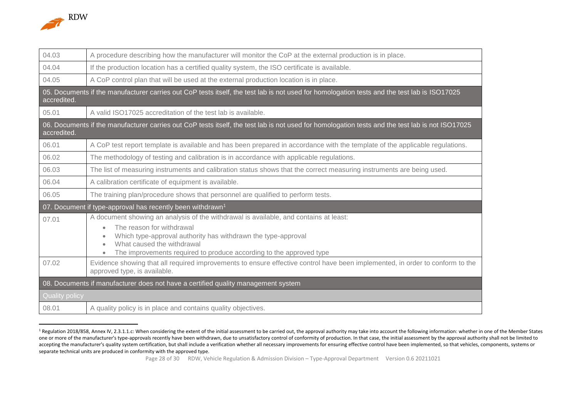

 $\overline{a}$ 

| 04.03                                                                             | A procedure describing how the manufacturer will monitor the CoP at the external production is in place.                                                      |  |
|-----------------------------------------------------------------------------------|---------------------------------------------------------------------------------------------------------------------------------------------------------------|--|
| 04.04                                                                             | If the production location has a certified quality system, the ISO certificate is available.                                                                  |  |
| 04.05                                                                             | A CoP control plan that will be used at the external production location is in place.                                                                         |  |
| accredited.                                                                       | 05. Documents if the manufacturer carries out CoP tests itself, the test lab is not used for homologation tests and the test lab is ISO17025                  |  |
| 05.01                                                                             | A valid ISO17025 accreditation of the test lab is available.                                                                                                  |  |
| accredited.                                                                       | 06. Documents if the manufacturer carries out CoP tests itself, the test lab is not used for homologation tests and the test lab is not ISO17025              |  |
| 06.01                                                                             | A CoP test report template is available and has been prepared in accordance with the template of the applicable regulations.                                  |  |
| 06.02                                                                             | The methodology of testing and calibration is in accordance with applicable regulations.                                                                      |  |
| 06.03                                                                             | The list of measuring instruments and calibration status shows that the correct measuring instruments are being used.                                         |  |
| 06.04                                                                             | A calibration certificate of equipment is available.                                                                                                          |  |
| 06.05                                                                             | The training plan/procedure shows that personnel are qualified to perform tests.                                                                              |  |
|                                                                                   | 07. Document if type-approval has recently been withdrawn <sup>1</sup>                                                                                        |  |
| 07.01                                                                             | A document showing an analysis of the withdrawal is available, and contains at least:                                                                         |  |
|                                                                                   | The reason for withdrawal                                                                                                                                     |  |
|                                                                                   | Which type-approval authority has withdrawn the type-approval<br>What caused the withdrawal                                                                   |  |
|                                                                                   | The improvements required to produce according to the approved type                                                                                           |  |
| 07.02                                                                             | Evidence showing that all required improvements to ensure effective control have been implemented, in order to conform to the<br>approved type, is available. |  |
| 08. Documents if manufacturer does not have a certified quality management system |                                                                                                                                                               |  |
| <b>Quality policy</b>                                                             |                                                                                                                                                               |  |
| 08.01                                                                             | A quality policy is in place and contains quality objectives.                                                                                                 |  |

<sup>&</sup>lt;sup>1</sup> Regulation 2018/858, Annex IV, 2.3.1.1.c: When considering the extent of the initial assessment to be carried out, the approval authority may take into account the following information: whether in one of the Member St one or more of the manufacturer's type-approvals recently have been withdrawn, due to unsatisfactory control of conformity of production. In that case, the initial assessment by the approval authority shall not be limited accepting the manufacturer's quality system certification, but shall include a verification whether all necessary improvements for ensuring effective control have been implemented, so that vehicles, components, systems or separate technical units are produced in conformity with the approved type.

Page 28 of 30 RDW, Vehicle Regulation & Admission Division – Type-Approval Department Version 0.6 20211021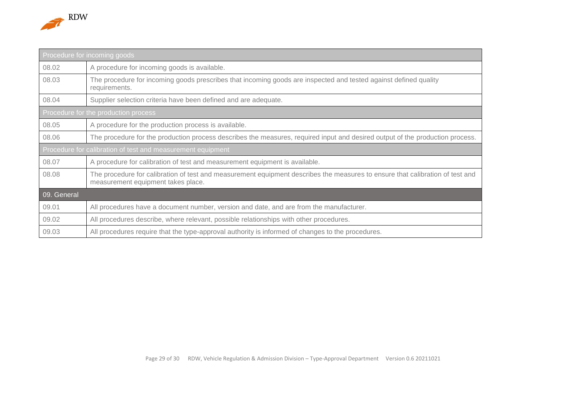

| Procedure for incoming goods |                                                                                                                                                                     |  |  |
|------------------------------|---------------------------------------------------------------------------------------------------------------------------------------------------------------------|--|--|
| 08.02                        | A procedure for incoming goods is available.                                                                                                                        |  |  |
| 08.03                        | The procedure for incoming goods prescribes that incoming goods are inspected and tested against defined quality<br>requirements.                                   |  |  |
| 08.04                        | Supplier selection criteria have been defined and are adequate.                                                                                                     |  |  |
|                              | Procedure for the production process                                                                                                                                |  |  |
| 08.05                        | A procedure for the production process is available.                                                                                                                |  |  |
| 08.06                        | The procedure for the production process describes the measures, required input and desired output of the production process.                                       |  |  |
|                              | Procedure for calibration of test and measurement equipment                                                                                                         |  |  |
| 08.07                        | A procedure for calibration of test and measurement equipment is available.                                                                                         |  |  |
| 08.08                        | The procedure for calibration of test and measurement equipment describes the measures to ensure that calibration of test and<br>measurement equipment takes place. |  |  |
| 09. General                  |                                                                                                                                                                     |  |  |
| 09.01                        | All procedures have a document number, version and date, and are from the manufacturer.                                                                             |  |  |
| 09.02                        | All procedures describe, where relevant, possible relationships with other procedures.                                                                              |  |  |
| 09.03                        | All procedures require that the type-approval authority is informed of changes to the procedures.                                                                   |  |  |